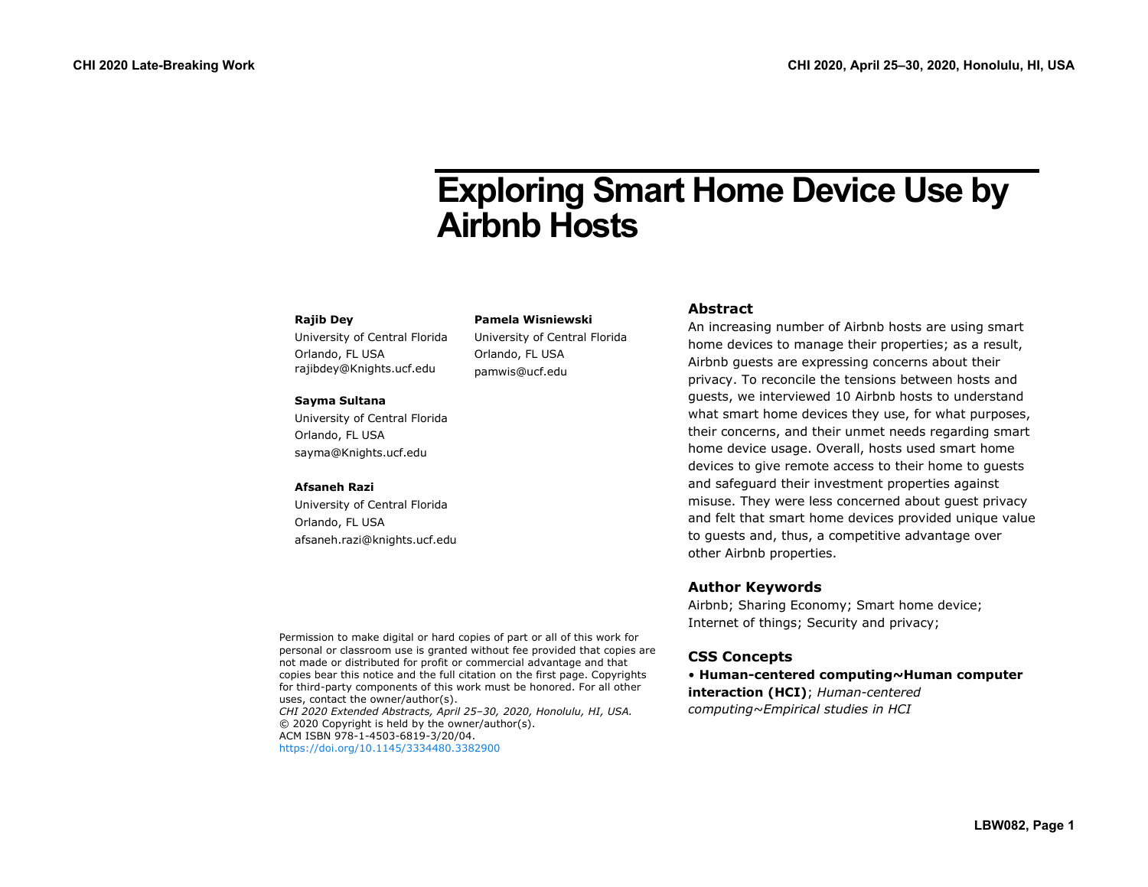# **Exploring Smart Home Device Use by Airbnb Hosts**

#### **Rajib Dey**

University of Central Florida Orlando, FL USA rajibdey@Knights.ucf.edu

#### **Sayma Sultana**

University of Central Florida Orlando, FL USA sayma@Knights.ucf.edu

#### **Afsaneh Razi**

University of Central Florida Orlando, FL USA afsaneh.razi@knights.ucf.edu

#### **Pamela Wisniewski**

University of Central Florida Orlando, FL USA pamwis@ucf.edu

#### **Abstract**

An increasing number of Airbnb hosts are using smart home devices to manage their properties; as a result, Airbnb guests are expressing concerns about their privacy. To reconcile the tensions between hosts and guests, we interviewed 10 Airbnb hosts to understand what smart home devices they use, for what purposes, their concerns, and their unmet needs regarding smart home device usage. Overall, hosts used smart home devices to give remote access to their home to guests and safeguard their investment properties against misuse. They were less concerned about guest privacy and felt that smart home devices provided unique value to guests and, thus, a competitive advantage over other Airbnb properties.

#### **Author Keywords**

Airbnb; Sharing Economy; Smart home device; Internet of things; Security and privacy;

# **CSS Concepts**

• **Human-centered computing~Human computer interaction (HCI)**; *Human-centered computing~Empirical studies in HCI*

Permission to make digital or hard copies of part or all of this work for personal or classroom use is granted without fee provided that copies are not made or distributed for profit or commercial advantage and that copies bear this notice and the full citation on the first page. Copyrights for third-party components of this work must be honored. For all other uses, contact the owner/author(s). *CHI 2020 Extended Abstracts, April 25–30, 2020, Honolulu, HI, USA.*  © 2020 Copyright is held by the owner/author(s). ACM ISBN 978-1-4503-6819-3/20/04. <https://doi.org/10.1145/3334480.3382900>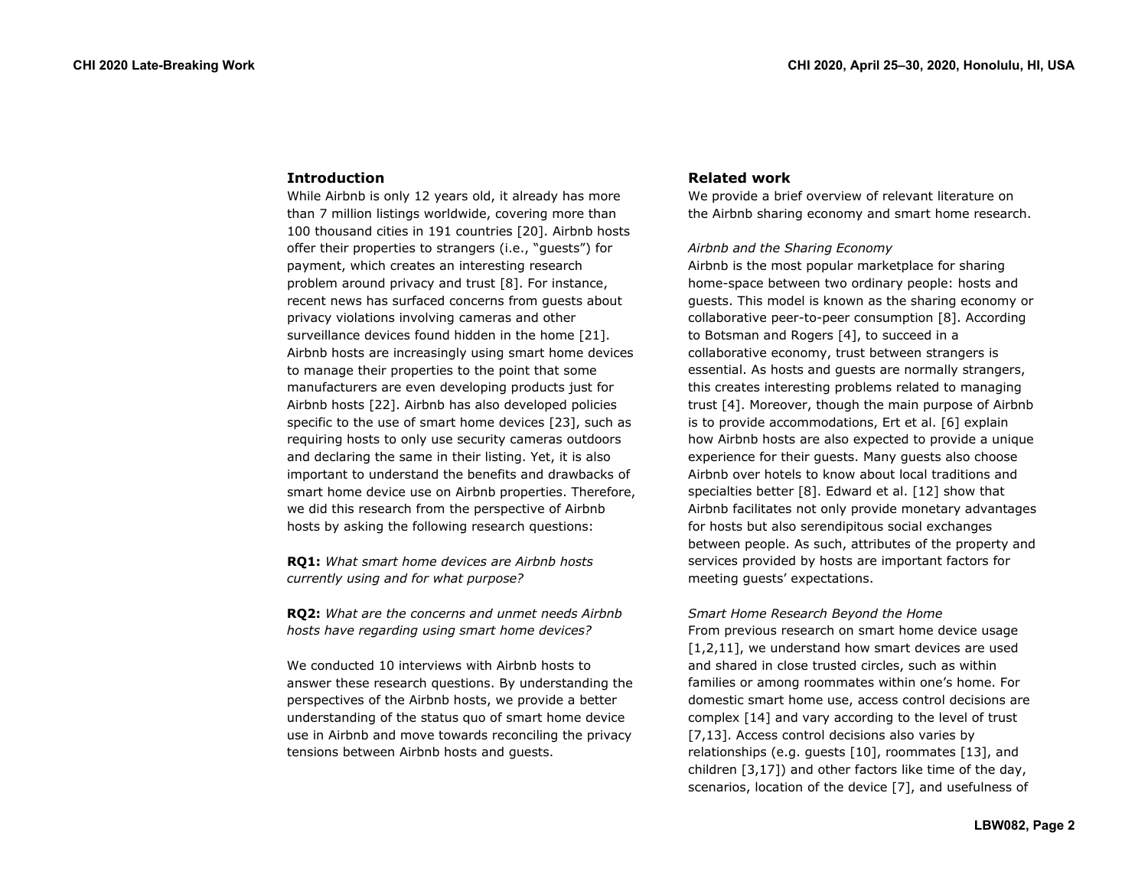#### **Introduction**

While Airbnb is only 12 years old, it already has more than 7 million listings worldwide, covering more than 100 thousand cities in 191 countries [20]. Airbnb hosts offer their properties to strangers (i.e., "guests") for payment, which creates an interesting research problem around privacy and trust [8]. For instance, recent news has surfaced concerns from guests about privacy violations involving cameras and other surveillance devices found hidden in the home [21]. Airbnb hosts are increasingly using smart home devices to manage their properties to the point that some manufacturers are even developing products just for Airbnb hosts [22]. Airbnb has also developed policies specific to the use of smart home devices [23], such as requiring hosts to only use security cameras outdoors and declaring the same in their listing. Yet, it is also important to understand the benefits and drawbacks of smart home device use on Airbnb properties. Therefore, we did this research from the perspective of Airbnb hosts by asking the following research questions:

**RQ1:** *What smart home devices are Airbnb hosts currently using and for what purpose?*

**RQ2:** *What are the concerns and unmet needs Airbnb hosts have regarding using smart home devices?*

We conducted 10 interviews with Airbnb hosts to answer these research questions. By understanding the perspectives of the Airbnb hosts, we provide a better understanding of the status quo of smart home device use in Airbnb and move towards reconciling the privacy tensions between Airbnb hosts and guests.

#### **Related work**

We provide a brief overview of relevant literature on the Airbnb sharing economy and smart home research.

#### *Airbnb and the Sharing Economy*

Airbnb is the most popular marketplace for sharing home-space between two ordinary people: hosts and guests. This model is known as the sharing economy or collaborative peer-to-peer consumption [8]. According to Botsman and Rogers [4], to succeed in a collaborative economy, trust between strangers is essential. As hosts and guests are normally strangers, this creates interesting problems related to managing trust [4]. Moreover, though the main purpose of Airbnb is to provide accommodations, Ert et al. [6] explain how Airbnb hosts are also expected to provide a unique experience for their guests. Many guests also choose Airbnb over hotels to know about local traditions and specialties better [8]. Edward et al. [12] show that Airbnb facilitates not only provide monetary advantages for hosts but also serendipitous social exchanges between people. As such, attributes of the property and services provided by hosts are important factors for meeting guests' expectations.

*Smart Home Research Beyond the Home* From previous research on smart home device usage [1,2,11], we understand how smart devices are used and shared in close trusted circles, such as within families or among roommates within one's home. For domestic smart home use, access control decisions are complex [14] and vary according to the level of trust [7,13]. Access control decisions also varies by relationships (e.g. guests [10], roommates [13], and children [3,17]) and other factors like time of the day, scenarios, location of the device [7], and usefulness of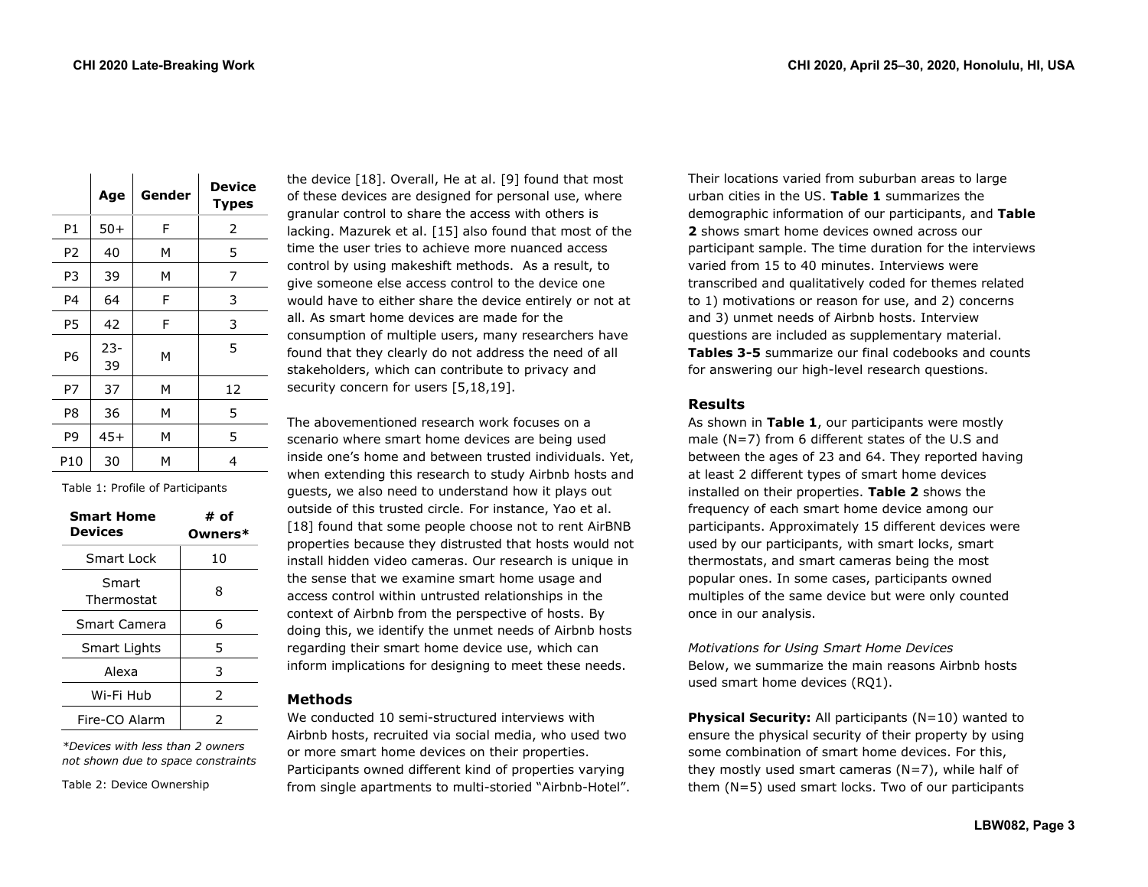|                | Age          | Gender | <b>Device</b><br><b>Types</b> |
|----------------|--------------|--------|-------------------------------|
| P1             | $50+$        | F      | 2                             |
| P <sub>2</sub> | 40           | м      | 5                             |
| P3             | 39           | м      | 7                             |
| P4             | 64           | F      | 3                             |
| P <sub>5</sub> | 42           | F      | 3                             |
| P6             | $23 -$<br>39 | м      | 5                             |
| P7             | 37           | M      | 12                            |
| P <sub>8</sub> | 36           | M      | 5                             |
| P <sub>9</sub> | $45+$        | M      | 5                             |
| P10            | 30           | м      | 4                             |

Table 1: Profile of Participants

| <b>Smart Home</b><br>Devices | # of<br>Owners* |
|------------------------------|-----------------|
| Smart Lock                   | 10              |
| Smart<br>Thermostat          | 8               |
| Smart Camera                 | 6               |
| <b>Smart Lights</b>          | 5               |
| Alexa                        | 3               |
| Wi-Fi Hub                    | $\mathcal{P}$   |
| Fire-CO Alarm                | 2               |

*\*Devices with less than 2 owners not shown due to space constraints*

Table 2: Device Ownership

the device [18]. Overall, He at al. [9] found that most of these devices are designed for personal use, where granular control to share the access with others is lacking. Mazurek et al. [15] also found that most of the time the user tries to achieve more nuanced access control by using makeshift methods. As a result, to give someone else access control to the device one would have to either share the device entirely or not at all. As smart home devices are made for the consumption of multiple users, many researchers have found that they clearly do not address the need of all stakeholders, which can contribute to privacy and security concern for users [5,18,19].

The abovementioned research work focuses on a scenario where smart home devices are being used inside one's home and between trusted individuals. Yet, when extending this research to study Airbnb hosts and guests, we also need to understand how it plays out outside of this trusted circle. For instance, Yao et al. [18] found that some people choose not to rent AirBNB properties because they distrusted that hosts would not install hidden video cameras. Our research is unique in the sense that we examine smart home usage and access control within untrusted relationships in the context of Airbnb from the perspective of hosts. By doing this, we identify the unmet needs of Airbnb hosts regarding their smart home device use, which can inform implications for designing to meet these needs.

# **Methods**

We conducted 10 semi-structured interviews with Airbnb hosts, recruited via social media, who used two or more smart home devices on their properties. Participants owned different kind of properties varying from single apartments to multi-storied "Airbnb-Hotel". Their locations varied from suburban areas to large urban cities in the US. **Table 1** summarizes the demographic information of our participants, and **Table 2** shows smart home devices owned across our participant sample. The time duration for the interviews varied from 15 to 40 minutes. Interviews were transcribed and qualitatively coded for themes related to 1) motivations or reason for use, and 2) concerns and 3) unmet needs of Airbnb hosts. Interview questions are included as supplementary material. **Tables 3-5** summarize our final codebooks and counts for answering our high-level research questions.

## **Results**

As shown in **Table 1**, our participants were mostly male (N=7) from 6 different states of the U.S and between the ages of 23 and 64. They reported having at least 2 different types of smart home devices installed on their properties. **Table 2** shows the frequency of each smart home device among our participants. Approximately 15 different devices were used by our participants, with smart locks, smart thermostats, and smart cameras being the most popular ones. In some cases, participants owned multiples of the same device but were only counted once in our analysis.

*Motivations for Using Smart Home Devices*  Below, we summarize the main reasons Airbnb hosts used smart home devices (RQ1).

**Physical Security:** All participants (N=10) wanted to ensure the physical security of their property by using some combination of smart home devices. For this, they mostly used smart cameras  $(N=7)$ , while half of them (N=5) used smart locks. Two of our participants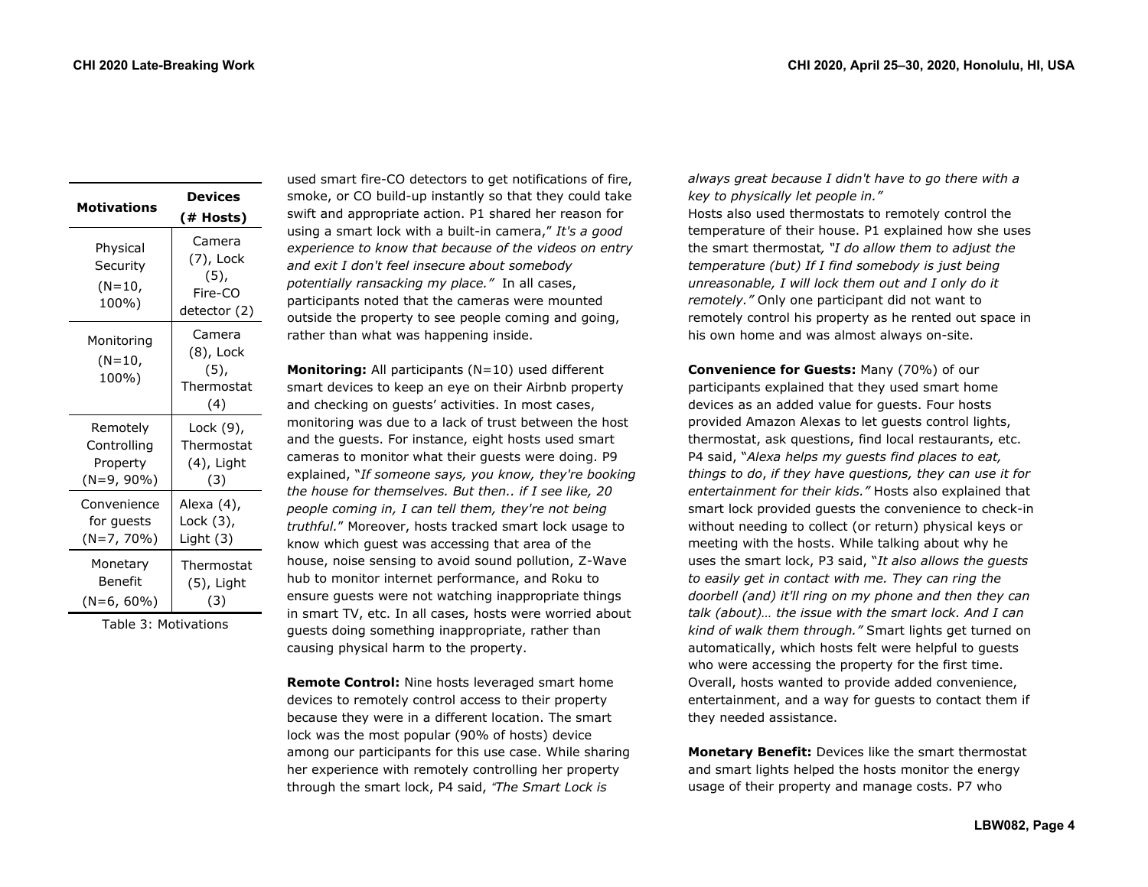| <b>Motivations</b>                      | Devices<br>(# Hosts)                                      |
|-----------------------------------------|-----------------------------------------------------------|
| Physical<br>Security<br>(N=10,<br>100%) | Camera<br>(7), Lock<br>$(5)$ ,<br>Fire-CO<br>detector (2) |
| Monitoring<br>$(N=10,$<br>100%)         | Camera<br>(8), Lock<br>$(5)$ ,<br>Thermostat<br>(4)       |
| Remotely                                | Lock (9),                                                 |
| Controlling                             | Thermostat                                                |
| Property                                | (4), Light                                                |
| (N=9, 90%)                              | (3)                                                       |
| Convenience                             | Alexa (4),                                                |
| for guests                              | Lock (3),                                                 |
| (N=7, 70%)                              | Light (3)                                                 |
| Monetary                                | Thermostat                                                |
| Benefit                                 | (5), Light                                                |
| $(N=6, 60\%)$                           | (3)                                                       |

Table 3: Motivations

used smart fire-CO detectors to get notifications of fire, smoke, or CO build-up instantly so that they could take swift and appropriate action. P1 shared her reason for using a smart lock with a built-in camera," *It's a good experience to know that because of the videos on entry and exit I don't feel insecure about somebody potentially ransacking my place."* In all cases, participants noted that the cameras were mounted outside the property to see people coming and going, rather than what was happening inside.

**Monitoring:** All participants (N=10) used different smart devices to keep an eye on their Airbnb property and checking on guests' activities. In most cases, monitoring was due to a lack of trust between the host and the guests. For instance, eight hosts used smart cameras to monitor what their guests were doing. P9 explained, "*If someone says, you know, they're booking the house for themselves. But then.. if I see like, 20 people coming in, I can tell them, they're not being truthful.*" Moreover, hosts tracked smart lock usage to know which guest was accessing that area of the house, noise sensing to avoid sound pollution, Z-Wave hub to monitor internet performance, and Roku to ensure guests were not watching inappropriate things in smart TV, etc. In all cases, hosts were worried about guests doing something inappropriate, rather than causing physical harm to the property.

**Remote Control:** Nine hosts leveraged smart home devices to remotely control access to their property because they were in a different location. The smart lock was the most popular (90% of hosts) device among our participants for this use case. While sharing her experience with remotely controlling her property through the smart lock, P4 said, *"The Smart Lock is* 

*always great because I didn't have to go there with a key to physically let people in."* Hosts also used thermostats to remotely control the temperature of their house. P1 explained how she uses the smart thermostat*, "I do allow them to adjust the temperature (but) If I find somebody is just being unreasonable, I will lock them out and I only do it remotely."* Only one participant did not want to remotely control his property as he rented out space in his own home and was almost always on-site.

**Convenience for Guests:** Many (70%) of our participants explained that they used smart home devices as an added value for guests. Four hosts provided Amazon Alexas to let guests control lights, thermostat, ask questions, find local restaurants, etc. P4 said, "*Alexa helps my guests find places to eat, things to do*, *if they have questions, they can use it for entertainment for their kids."* Hosts also explained that smart lock provided guests the convenience to check-in without needing to collect (or return) physical keys or meeting with the hosts. While talking about why he uses the smart lock, P3 said, "*It also allows the guests to easily get in contact with me. They can ring the doorbell (and) it'll ring on my phone and then they can talk (about)… the issue with the smart lock. And I can kind of walk them through."* Smart lights get turned on automatically, which hosts felt were helpful to guests who were accessing the property for the first time. Overall, hosts wanted to provide added convenience, entertainment, and a way for guests to contact them if they needed assistance.

**Monetary Benefit:** Devices like the smart thermostat and smart lights helped the hosts monitor the energy usage of their property and manage costs. P7 who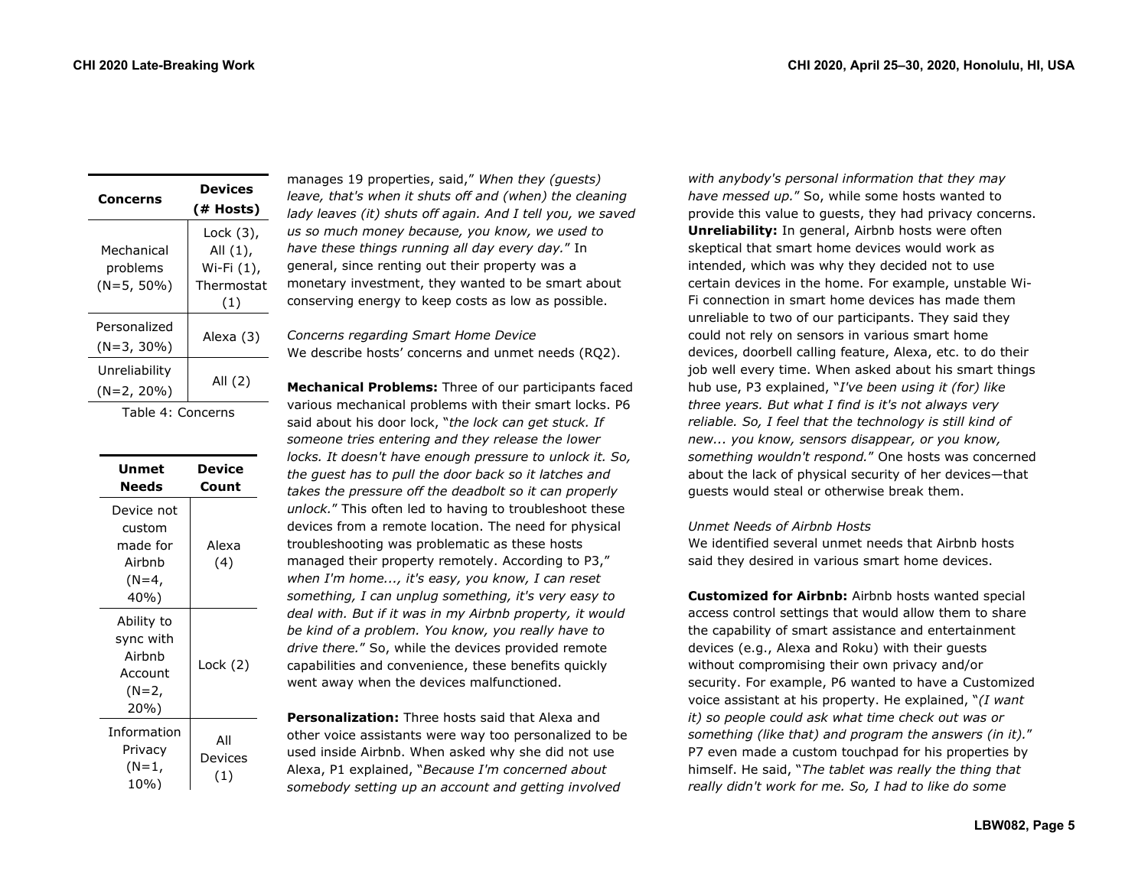| Concerns                             | <b>Devices</b><br>(# Hosts)                              |
|--------------------------------------|----------------------------------------------------------|
| Mechanical<br>problems<br>(N=5, 50%) | Lock (3),<br>All (1),<br>Wi-Fi (1),<br>Thermostat<br>(1) |
| Personalized<br>$(N=3, 30\%)$        | Alexa (3)                                                |
| Unreliability<br>(N=2, 20%)          | All (2)                                                  |

Table 4: Concerns

| Unmet<br>Needs                                                   | Device<br>Count       |
|------------------------------------------------------------------|-----------------------|
| Device not<br>custom<br>made for<br>Airhnh<br>(N=4,<br>40%)      | Alexa<br>(4)          |
| Ability to<br>sync with<br>Airbnb<br>Account<br>$(N=2, $<br>20%) | Lock (2)              |
| Information<br>Privacy<br>(N=1,<br>10%)                          | All<br>Devices<br>(1) |

manages 19 properties, said," *When they (guests) leave, that's when it shuts off and (when) the cleaning lady leaves (it) shuts off again. And I tell you, we saved us so much money because, you know, we used to have these things running all day every day.*" In general, since renting out their property was a monetary investment, they wanted to be smart about conserving energy to keep costs as low as possible.

*Concerns regarding Smart Home Device* We describe hosts' concerns and unmet needs (RQ2).

**Mechanical Problems:** Three of our participants faced various mechanical problems with their smart locks. P6 said about his door lock, "*the lock can get stuck. If someone tries entering and they release the lower locks. It doesn't have enough pressure to unlock it. So, the guest has to pull the door back so it latches and takes the pressure off the deadbolt so it can properly unlock.*" This often led to having to troubleshoot these devices from a remote location. The need for physical troubleshooting was problematic as these hosts managed their property remotely. According to P3," *when I'm home..., it's easy, you know, I can reset something, I can unplug something, it's very easy to deal with. But if it was in my Airbnb property, it would be kind of a problem. You know, you really have to drive there.*" So, while the devices provided remote capabilities and convenience, these benefits quickly went away when the devices malfunctioned.

**Personalization:** Three hosts said that Alexa and other voice assistants were way too personalized to be used inside Airbnb. When asked why she did not use Alexa, P1 explained, "*Because I'm concerned about somebody setting up an account and getting involved* 

*with anybody's personal information that they may have messed up.*" So, while some hosts wanted to provide this value to guests, they had privacy concerns. **Unreliability:** In general, Airbnb hosts were often skeptical that smart home devices would work as intended, which was why they decided not to use certain devices in the home. For example, unstable Wi-Fi connection in smart home devices has made them unreliable to two of our participants. They said they could not rely on sensors in various smart home devices, doorbell calling feature, Alexa, etc. to do their job well every time. When asked about his smart things hub use, P3 explained, "*I've been using it (for) like three years. But what I find is it's not always very reliable. So, I feel that the technology is still kind of new... you know, sensors disappear, or you know, something wouldn't respond.*" One hosts was concerned about the lack of physical security of her devices—that guests would steal or otherwise break them.

#### *Unmet Needs of Airbnb Hosts*

We identified several unmet needs that Airbnb hosts said they desired in various smart home devices.

**Customized for Airbnb:** Airbnb hosts wanted special access control settings that would allow them to share the capability of smart assistance and entertainment devices (e.g., Alexa and Roku) with their guests without compromising their own privacy and/or security. For example, P6 wanted to have a Customized voice assistant at his property. He explained, "*(I want it) so people could ask what time check out was or something (like that) and program the answers (in it).*" P7 even made a custom touchpad for his properties by himself. He said, "*The tablet was really the thing that really didn't work for me. So, I had to like do some*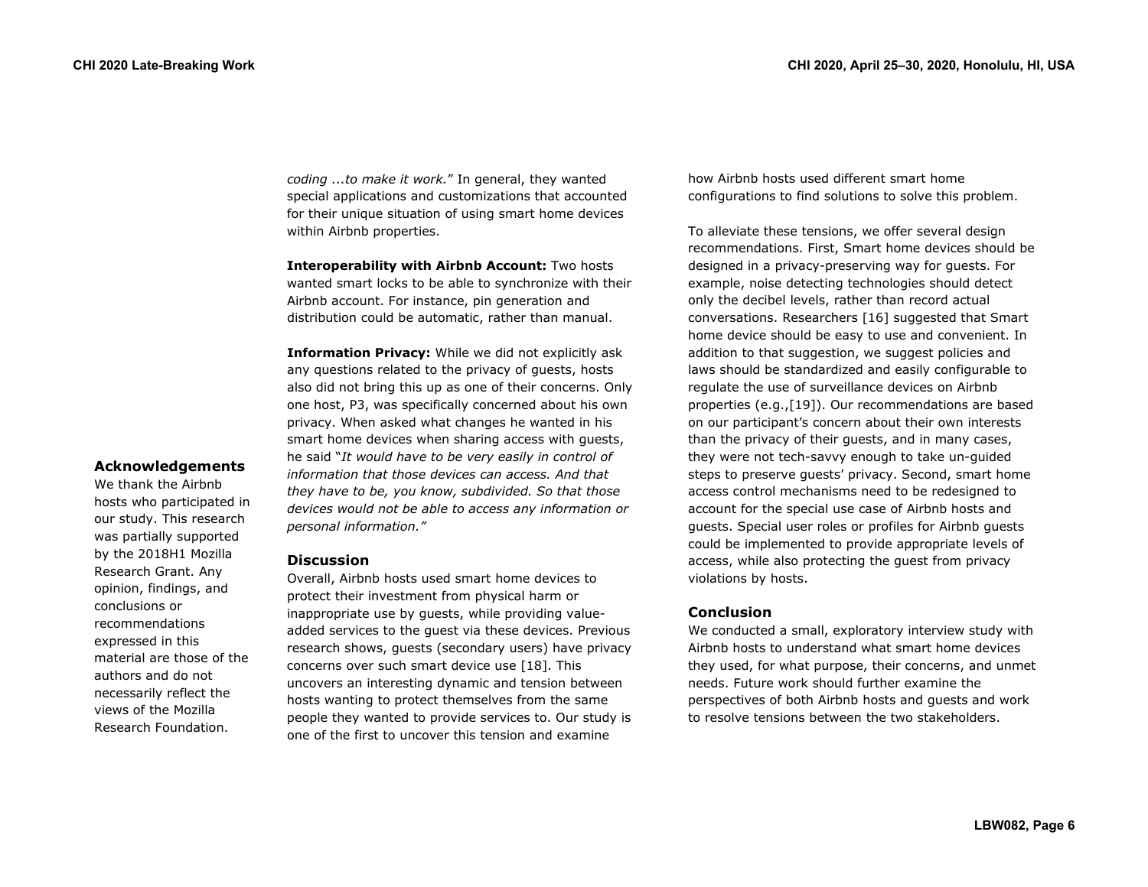**Acknowledgements** We thank the Airbnb hosts who participated in our study. This research was partially supported by the 2018H1 Mozilla Research Grant. Any opinion, findings, and conclusions or recommendations expressed in this

material are those of the authors and do not necessarily reflect the views of the Mozilla Research Foundation.

*coding ...to make it work.*" In general, they wanted special applications and customizations that accounted for their unique situation of using smart home devices within Airbnb properties.

**Interoperability with Airbnb Account:** Two hosts wanted smart locks to be able to synchronize with their Airbnb account. For instance, pin generation and distribution could be automatic, rather than manual.

**Information Privacy:** While we did not explicitly ask any questions related to the privacy of guests, hosts also did not bring this up as one of their concerns. Only one host, P3, was specifically concerned about his own privacy. When asked what changes he wanted in his smart home devices when sharing access with guests, he said "*It would have to be very easily in control of information that those devices can access. And that they have to be, you know, subdivided. So that those devices would not be able to access any information or personal information."* 

# **Discussion**

Overall, Airbnb hosts used smart home devices to protect their investment from physical harm or inappropriate use by guests, while providing valueadded services to the guest via these devices. Previous research shows, guests (secondary users) have privacy concerns over such smart device use [18]. This uncovers an interesting dynamic and tension between hosts wanting to protect themselves from the same people they wanted to provide services to. Our study is one of the first to uncover this tension and examine

how Airbnb hosts used different smart home configurations to find solutions to solve this problem.

To alleviate these tensions, we offer several design recommendations. First, Smart home devices should be designed in a privacy-preserving way for guests. For example, noise detecting technologies should detect only the decibel levels, rather than record actual conversations. Researchers [16] suggested that Smart home device should be easy to use and convenient. In addition to that suggestion, we suggest policies and laws should be standardized and easily configurable to regulate the use of surveillance devices on Airbnb properties (e.g.,[19]). Our recommendations are based on our participant's concern about their own interests than the privacy of their guests, and in many cases, they were not tech-savvy enough to take un-guided steps to preserve guests' privacy. Second, smart home access control mechanisms need to be redesigned to account for the special use case of Airbnb hosts and guests. Special user roles or profiles for Airbnb guests could be implemented to provide appropriate levels of access, while also protecting the guest from privacy violations by hosts.

## **Conclusion**

We conducted a small, exploratory interview study with Airbnb hosts to understand what smart home devices they used, for what purpose, their concerns, and unmet needs. Future work should further examine the perspectives of both Airbnb hosts and guests and work to resolve tensions between the two stakeholders.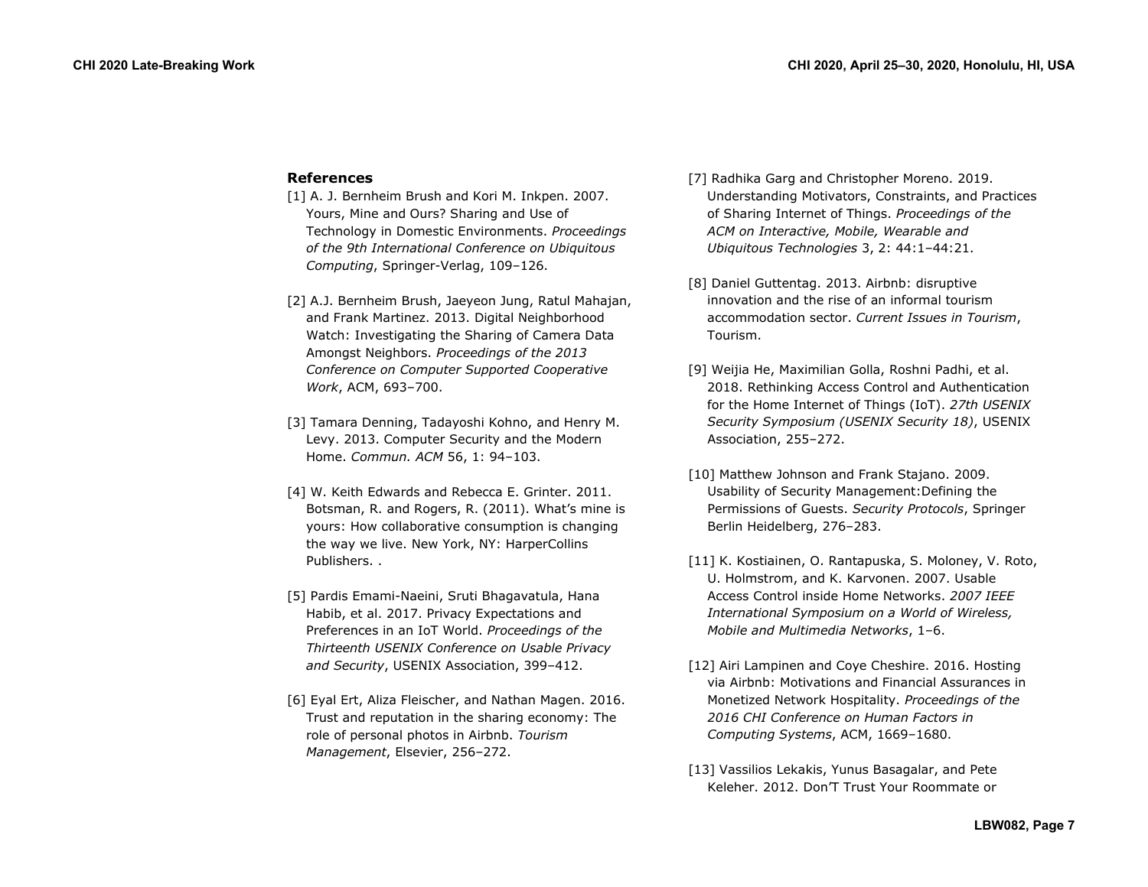#### **References**

- [1] A. J. Bernheim Brush and Kori M. Inkpen. 2007. Yours, Mine and Ours? Sharing and Use of Technology in Domestic Environments. *Proceedings of the 9th International Conference on Ubiquitous Computing*, Springer-Verlag, 109–126.
- [2] A.J. Bernheim Brush, Jaeyeon Jung, Ratul Mahajan, and Frank Martinez. 2013. Digital Neighborhood Watch: Investigating the Sharing of Camera Data Amongst Neighbors. *Proceedings of the 2013 Conference on Computer Supported Cooperative Work*, ACM, 693–700.
- [3] Tamara Denning, Tadayoshi Kohno, and Henry M. Levy. 2013. Computer Security and the Modern Home. *Commun. ACM* 56, 1: 94–103.
- [4] W. Keith Edwards and Rebecca E. Grinter. 2011. Botsman, R. and Rogers, R. (2011). What's mine is yours: How collaborative consumption is changing the way we live. New York, NY: HarperCollins Publishers. .
- [5] Pardis Emami-Naeini, Sruti Bhagavatula, Hana Habib, et al. 2017. Privacy Expectations and Preferences in an IoT World. *Proceedings of the Thirteenth USENIX Conference on Usable Privacy and Security*, USENIX Association, 399–412.
- [6] Eyal Ert, Aliza Fleischer, and Nathan Magen. 2016. Trust and reputation in the sharing economy: The role of personal photos in Airbnb. *Tourism Management*, Elsevier, 256–272.
- [7] Radhika Garg and Christopher Moreno. 2019. Understanding Motivators, Constraints, and Practices of Sharing Internet of Things. *Proceedings of the ACM on Interactive, Mobile, Wearable and Ubiquitous Technologies* 3, 2: 44:1–44:21.
- [8] Daniel Guttentag. 2013. Airbnb: disruptive innovation and the rise of an informal tourism accommodation sector. *Current Issues in Tourism*, Tourism.
- [9] Weijia He, Maximilian Golla, Roshni Padhi, et al. 2018. Rethinking Access Control and Authentication for the Home Internet of Things (IoT). *27th USENIX Security Symposium (USENIX Security 18)*, USENIX Association, 255–272.
- [10] Matthew Johnson and Frank Stajano. 2009. Usability of Security Management:Defining the Permissions of Guests. *Security Protocols*, Springer Berlin Heidelberg, 276–283.
- [11] K. Kostiainen, O. Rantapuska, S. Moloney, V. Roto, U. Holmstrom, and K. Karvonen. 2007. Usable Access Control inside Home Networks. *2007 IEEE International Symposium on a World of Wireless, Mobile and Multimedia Networks*, 1–6.
- [12] Airi Lampinen and Coye Cheshire. 2016. Hosting via Airbnb: Motivations and Financial Assurances in Monetized Network Hospitality. *Proceedings of the 2016 CHI Conference on Human Factors in Computing Systems*, ACM, 1669–1680.
- [13] Vassilios Lekakis, Yunus Basagalar, and Pete Keleher. 2012. Don'T Trust Your Roommate or